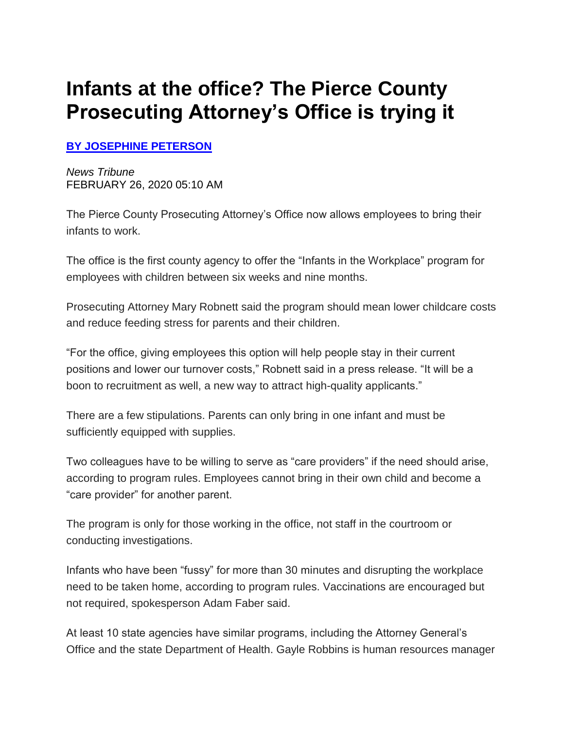## **Infants at the office? The Pierce County Prosecuting Attorney's Office is trying it**

## **[BY JOSEPHINE PETERSON](mailto:jhpeterson@thenewstribune.com)**

*News Tribune* FEBRUARY 26, 2020 05:10 AM

The Pierce County Prosecuting Attorney's Office now allows employees to bring their infants to work.

The office is the first county agency to offer the "Infants in the Workplace" program for employees with children between six weeks and nine months.

Prosecuting Attorney Mary Robnett said the program should mean lower childcare costs and reduce feeding stress for parents and their children.

"For the office, giving employees this option will help people stay in their current positions and lower our turnover costs," Robnett said in a press release. "It will be a boon to recruitment as well, a new way to attract high-quality applicants."

There are a few stipulations. Parents can only bring in one infant and must be sufficiently equipped with supplies.

Two colleagues have to be willing to serve as "care providers" if the need should arise, according to program rules. Employees cannot bring in their own child and become a "care provider" for another parent.

The program is only for those working in the office, not staff in the courtroom or conducting investigations.

Infants who have been "fussy" for more than 30 minutes and disrupting the workplace need to be taken home, according to program rules. Vaccinations are encouraged but not required, spokesperson Adam Faber said.

At least 10 state agencies have similar programs, including the Attorney General's Office and the state Department of Health. Gayle Robbins is human resources manager